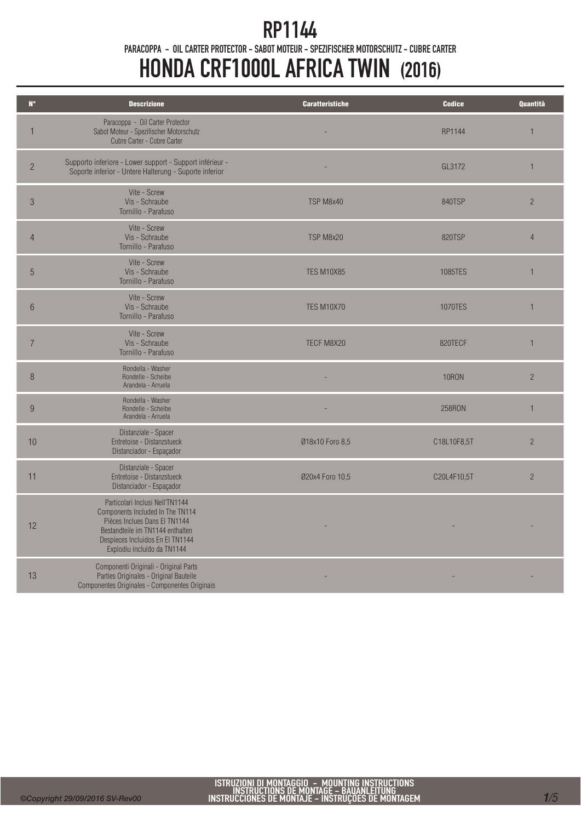## RP1144

PARACOPPA - OIL CARTER PROTECTOR - SABOT MOTEUR - SPEZIFISCHER MOTORSCHUTZ - CUBRE CARTER

# HONDA CRF1000L AFRICA TWIN (2016)

| $N^{\circ}$    | <b>Descrizione</b>                                                                                                                                                                                          | <b>Caratteristiche</b> | <b>Codice</b>  | Quantità       |
|----------------|-------------------------------------------------------------------------------------------------------------------------------------------------------------------------------------------------------------|------------------------|----------------|----------------|
| $\mathbf 1$    | Paracoppa - Oil Carter Protector<br>Sabot Moteur - Spezifischer Motorschutz<br>Cubre Carter - Cobre Carter                                                                                                  |                        | RP1144         | $\overline{1}$ |
| $\overline{2}$ | Supporto inferiore - Lower support - Support inférieur -<br>Soporte inferior - Untere Halterung - Suporte inferior                                                                                          |                        | GL3172         | 1              |
| $\mathcal{S}$  | Vite - Screw<br>Vis - Schraube<br>Tornillo - Parafuso                                                                                                                                                       | TSP M8x40              | 840TSP         | $\overline{2}$ |
| $\overline{4}$ | Vite - Screw<br>Vis - Schraube<br>Tornillo - Parafuso                                                                                                                                                       | TSP M8x20              | <b>820TSP</b>  | $\overline{4}$ |
| 5              | Vite - Screw<br>Vis - Schraube<br>Tornillo - Parafuso                                                                                                                                                       | <b>TES M10X85</b>      | 1085TES        | $\mathbf{1}$   |
| $6\phantom{1}$ | Vite - Screw<br>Vis - Schraube<br>Tornillo - Parafuso                                                                                                                                                       | <b>TES M10X70</b>      | <b>1070TES</b> | 1              |
| $\overline{7}$ | Vite - Screw<br>Vis - Schraube<br>Tornillo - Parafuso                                                                                                                                                       | TECF M8X20             | 820TECF        | 1              |
| 8              | Rondella - Washer<br>Rondelle - Scheibe<br>Arandela - Arruela                                                                                                                                               |                        | <b>10RON</b>   | $\overline{2}$ |
| 9              | Rondella - Washer<br>Rondelle - Scheibe<br>Arandela - Arruela                                                                                                                                               |                        | <b>258RON</b>  | $\mathbf{1}$   |
| 10             | Distanziale - Spacer<br>Entretoise - Distanzstueck<br>Distanciador - Espaçador                                                                                                                              | Ø18x10 Foro 8,5        | C18L10F8,5T    | $\overline{c}$ |
| 11             | Distanziale - Spacer<br>Entretoise - Distanzstueck<br>Distanciador - Espaçador                                                                                                                              | Ø20x4 Foro 10,5        | C20L4F10,5T    | $\overline{c}$ |
| 12             | Particolari Inclusi Nell'TN1144<br>Components Included In The TN114<br>Pièces Inclues Dans El TN1144<br>Bestandteile im TN1144 enthalten<br>Despieces Incluidos En El TN1144<br>Explodiu incluído da TN1144 |                        |                |                |
| 13             | Componenti Originali - Original Parts<br>Parties Originales - Original Bauteile<br>Componentes Originales - Componentes Originais                                                                           |                        |                |                |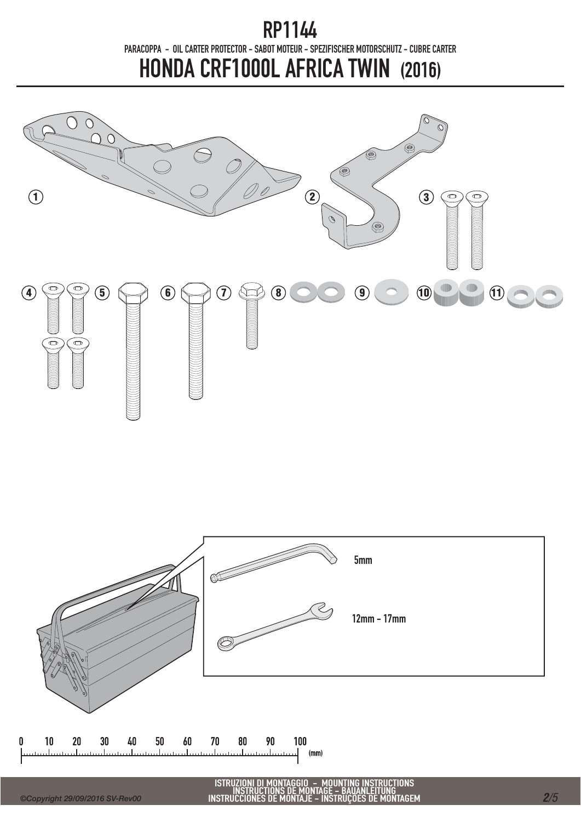

ISTRUZIONI DI MONTAGGIO – MOUNTING INSTRUCTIONS<br>INSTRUCTIONS DE MONTAGE – BAUANLEITUNG<br>INSTRUCCIONES DE MONTAJE – INSTRUÇÕES DE MONTAGEM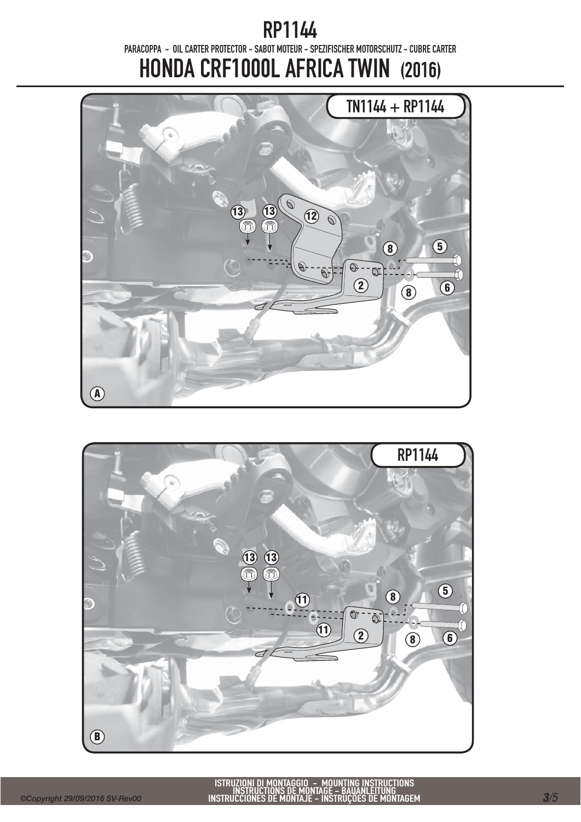

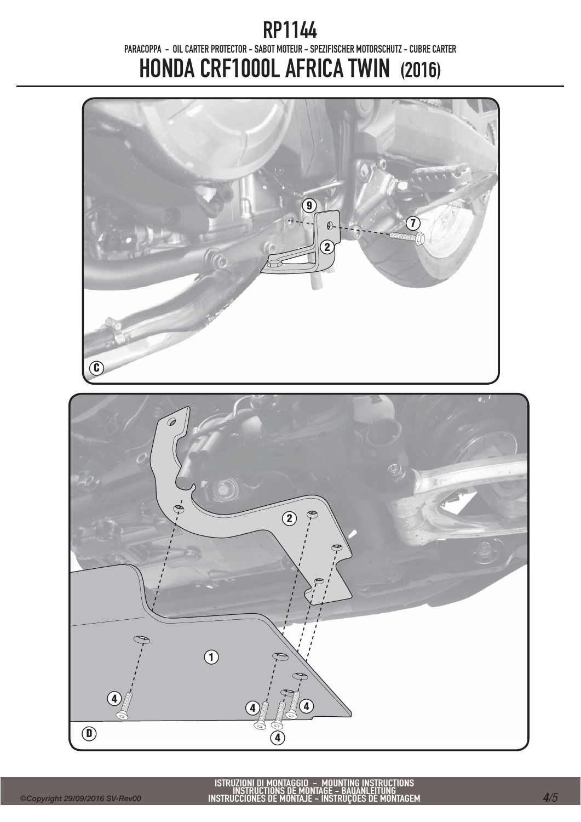